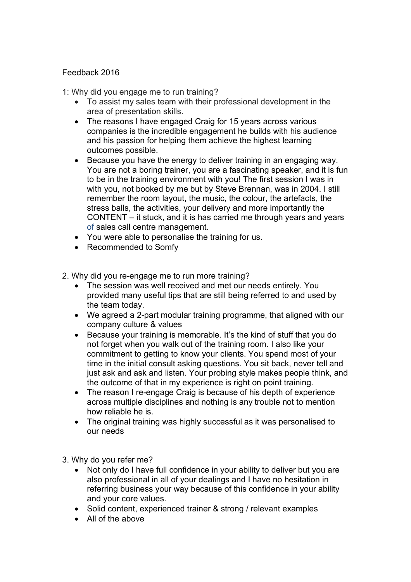## Feedback 2016

1: Why did you engage me to run training?

- To assist my sales team with their professional development in the area of presentation skills.
- The reasons I have engaged Craig for 15 years across various companies is the incredible engagement he builds with his audience and his passion for helping them achieve the highest learning outcomes possible.
- Because you have the energy to deliver training in an engaging way. You are not a boring trainer, you are a fascinating speaker, and it is fun to be in the training environment with you! The first session I was in with you, not booked by me but by Steve Brennan, was in 2004. I still remember the room layout, the music, the colour, the artefacts, the stress balls, the activities, your delivery and more importantly the CONTENT – it stuck, and it is has carried me through years and years of sales call centre management.
- You were able to personalise the training for us.
- Recommended to Somfy
- 2. Why did you re-engage me to run more training?
	- The session was well received and met our needs entirely. You provided many useful tips that are still being referred to and used by the team today.
	- We agreed a 2-part modular training programme, that aligned with our company culture & values
	- Because your training is memorable. It's the kind of stuff that you do not forget when you walk out of the training room. I also like your commitment to getting to know your clients. You spend most of your time in the initial consult asking questions. You sit back, never tell and just ask and ask and listen. Your probing style makes people think, and the outcome of that in my experience is right on point training.
	- The reason I re-engage Craig is because of his depth of experience across multiple disciplines and nothing is any trouble not to mention how reliable he is.
	- The original training was highly successful as it was personalised to our needs
- 3. Why do you refer me?
	- Not only do I have full confidence in your ability to deliver but you are also professional in all of your dealings and I have no hesitation in referring business your way because of this confidence in your ability and your core values.
	- Solid content, experienced trainer & strong / relevant examples
	- All of the above